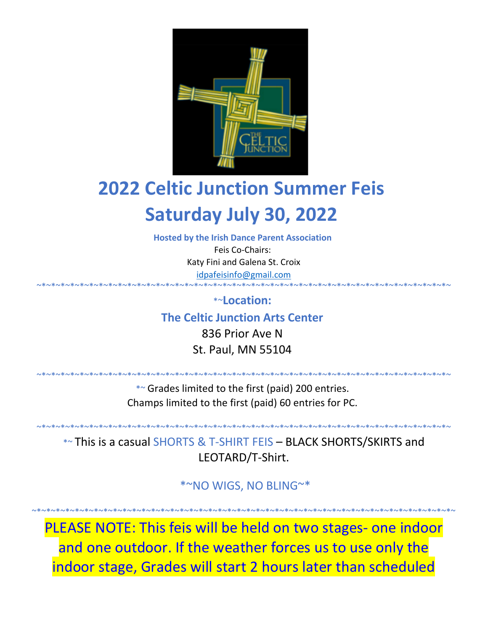

# **2022 Celtic Junction Summer Feis Saturday July 30, 2022**

**Hosted by the Irish Dance Parent Association**

Feis Co-Chairs: Katy Fini and Galena St. Croix idpafeisinfo@gmail.com

~\*~\*~\*~\*~\*~\*~\*~\*~\*~\*~\*~\*~\*~\*~\*~\*~\*~\*~\*~\*~\*~\*~\*~\*~\*~\*~\*~\*~\*~\*~\*~\*~\*~\*~\*~\*~\*~\*~\*~\*~\*~\*~\*~ \*~**Location:**

**The Celtic Junction Arts Center**

836 Prior Ave N St. Paul, MN 55104

~\*~\*~\*~\*~\*~\*~\*~\*~\*~\*~\*~\*~\*~\*~\*~\*~\*~\*~\*~\*~\*~\*~\*~\*~\*~\*~\*~\*~\*~\*~\*~\*~\*~\*~\*~\*~\*~\*~\*~\*~\*~\*~\*~

\*~ Grades limited to the first (paid) 200 entries. Champs limited to the first (paid) 60 entries for PC.

\*~ This is a casual SHORTS & T-SHIRT FEIS – BLACK SHORTS/SKIRTS and LEOTARD/T-Shirt.

~\*~\*~\*~\*~\*~\*~\*~\*~\*~\*~\*~\*~\*~\*~\*~\*~\*~\*~\*~\*~\*~\*~\*~\*~\*~\*~\*~\*~\*~\*~\*~\*~\*~\*~\*~\*~\*~\*~\*~\*~\*~\*~\*~

\*~NO WIGS, NO BLING~\*

~\*~\*~\*~\*~\*~\*~\*~\*~\*~\*~\*~\*~\*~\*~\*~\*~\*~\*~\*~\*~\*~\*~\*~\*~\*~\*~\*~\*~\*~\*~\*~\*~\*~\*~\*~\*~\*~\*~\*~\*~\*~\*~\*~\*~

PLEASE NOTE: This feis will be held on two stages- one indoor and one outdoor. If the weather forces us to use only the indoor stage, Grades will start 2 hours later than scheduled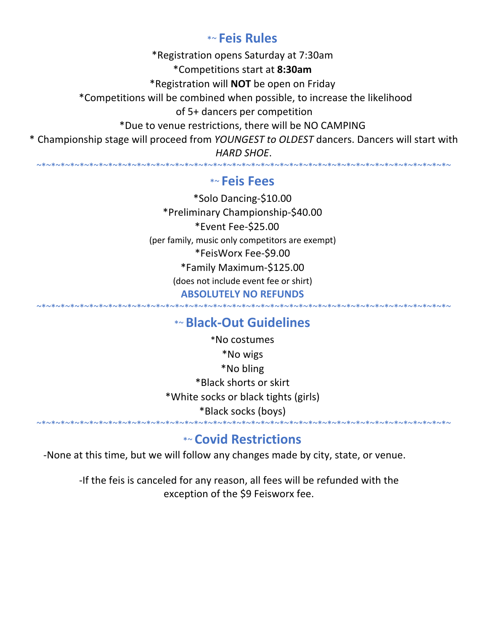## \*~ **Feis Rules**

\*Registration opens Saturday at 7:30am \*Competitions start at **8:30am** \*Registration will **NOT** be open on Friday \*Competitions will be combined when possible, to increase the likelihood of 5+ dancers per competition \*Due to venue restrictions, there will be NO CAMPING \* Championship stage will proceed from *YOUNGEST to OLDEST* dancers. Dancers will start with *HARD SHOE*.

## \*~ **Feis Fees**

~\*~\*~\*~\*~\*~\*~\*~\*~\*~\*~\*~\*~\*~\*~\*~\*~\*~\*~\*~\*~\*~\*~\*~\*~\*~\*~\*~\*~\*~\*~\*~\*~\*~\*~\*~\*~\*~\*~\*~\*~\*~\*~\*~

\*Solo Dancing-\$10.00 \*Preliminary Championship-\$40.00 \*Event Fee-\$25.00 (per family, music only competitors are exempt) \*FeisWorx Fee-\$9.00 \*Family Maximum-\$125.00 (does not include event fee or shirt) **ABSOLUTELY NO REFUNDS**

## \*~ **Black-Out Guidelines**

~\*~\*~\*~\*~\*~\*~\*~\*~\*~\*~\*~\*~\*~\*~\*~\*~\*~\*~\*~\*~\*~\*~\*~\*~\*~\*~\*~\*~\*~\*~\*~\*~\*~\*~\*~\*~\*~\*~\*~\*~\*~\*~\*~

\*No costumes \*No wigs \*No bling \*Black shorts or skirt \*White socks or black tights (girls) \*Black socks (boys)

## \*~ **Covid Restrictions**

~\*~\*~\*~\*~\*~\*~\*~\*~\*~\*~\*~\*~\*~\*~\*~\*~\*~\*~\*~\*~\*~\*~\*~\*~\*~\*~\*~\*~\*~\*~\*~\*~\*~\*~\*~\*~\*~\*~\*~\*~\*~\*~\*~

-None at this time, but we will follow any changes made by city, state, or venue.

-If the feis is canceled for any reason, all fees will be refunded with the exception of the \$9 Feisworx fee.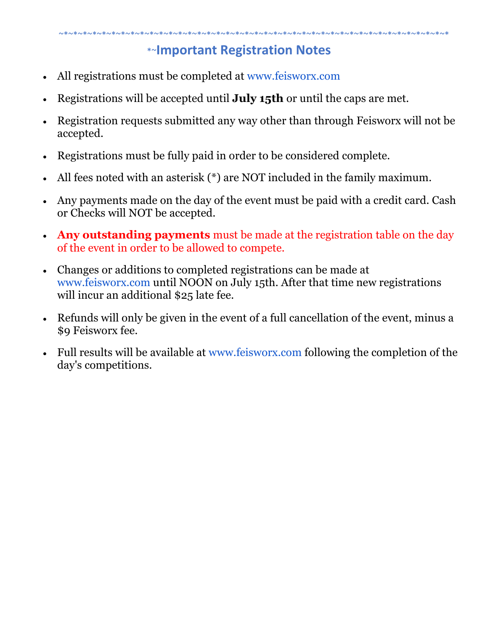## \*~**Important Registration Notes**

- All registrations must be completed at www.feisworx.com
- Registrations will be accepted until **July 15th** or until the caps are met.
- Registration requests submitted any way other than through Feisworx will not be accepted.
- Registrations must be fully paid in order to be considered complete.
- All fees noted with an asterisk (\*) are NOT included in the family maximum.
- Any payments made on the day of the event must be paid with a credit card. Cash or Checks will NOT be accepted.
- **Any outstanding payments** must be made at the registration table on the day of the event in order to be allowed to compete.
- Changes or additions to completed registrations can be made at www.feisworx.com until NOON on July 15th. After that time new registrations will incur an additional \$25 late fee.
- Refunds will only be given in the event of a full cancellation of the event, minus a \$9 Feisworx fee.
- Full results will be available at www.feisworx.com following the completion of the day's competitions.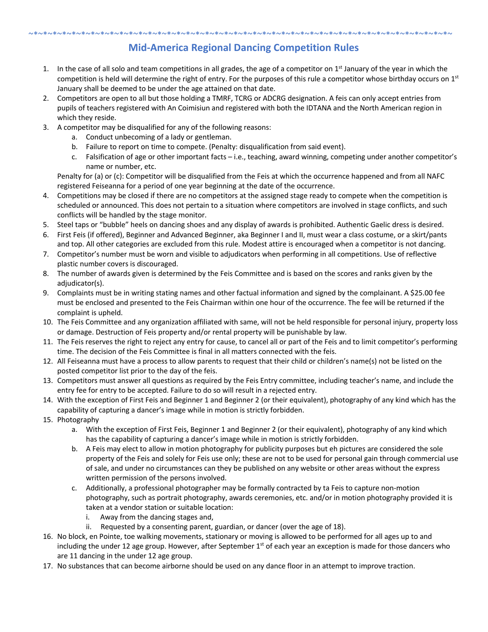#### ~\*~\*~\*~\*~\*~\*~\*~\*~\*~\*~\*~\*~\*~\*~\*~\*~\*~\*~\*~\*~\*~\*~\*~\*~\*~\*~\*~\*~\*~\*~\*~\*~\*~\*~\*~\*~\*~\*~\*~\*~\*~\*~\*~\*~ **Mid-America Regional Dancing Competition Rules**

- 1. In the case of all solo and team competitions in all grades, the age of a competitor on  $1<sup>st</sup>$  January of the year in which the competition is held will determine the right of entry. For the purposes of this rule a competitor whose birthday occurs on  $1<sup>st</sup>$ January shall be deemed to be under the age attained on that date.
- 2. Competitors are open to all but those holding a TMRF, TCRG or ADCRG designation. A feis can only accept entries from pupils of teachers registered with An Coimisiun and registered with both the IDTANA and the North American region in which they reside.
- 3. A competitor may be disqualified for any of the following reasons:
	- a. Conduct unbecoming of a lady or gentleman.
	- b. Failure to report on time to compete. (Penalty: disqualification from said event).
	- c. Falsification of age or other important facts i.e., teaching, award winning, competing under another competitor's name or number, etc.

Penalty for (a) or (c): Competitor will be disqualified from the Feis at which the occurrence happened and from all NAFC registered Feiseanna for a period of one year beginning at the date of the occurrence.

- 4. Competitions may be closed if there are no competitors at the assigned stage ready to compete when the competition is scheduled or announced. This does not pertain to a situation where competitors are involved in stage conflicts, and such conflicts will be handled by the stage monitor.
- 5. Steel taps or "bubble" heels on dancing shoes and any display of awards is prohibited. Authentic Gaelic dress is desired.
- 6. First Feis (if offered), Beginner and Advanced Beginner, aka Beginner I and II, must wear a class costume, or a skirt/pants and top. All other categories are excluded from this rule. Modest attire is encouraged when a competitor is not dancing.
- 7. Competitor's number must be worn and visible to adjudicators when performing in all competitions. Use of reflective plastic number covers is discouraged.
- 8. The number of awards given is determined by the Feis Committee and is based on the scores and ranks given by the adjudicator(s).
- 9. Complaints must be in writing stating names and other factual information and signed by the complainant. A \$25.00 fee must be enclosed and presented to the Feis Chairman within one hour of the occurrence. The fee will be returned if the complaint is upheld.
- 10. The Feis Committee and any organization affiliated with same, will not be held responsible for personal injury, property loss or damage. Destruction of Feis property and/or rental property will be punishable by law.
- 11. The Feis reserves the right to reject any entry for cause, to cancel all or part of the Feis and to limit competitor's performing time. The decision of the Feis Committee is final in all matters connected with the feis.
- 12. All Feiseanna must have a process to allow parents to request that their child or children's name(s) not be listed on the posted competitor list prior to the day of the feis.
- 13. Competitors must answer all questions as required by the Feis Entry committee, including teacher's name, and include the entry fee for entry to be accepted. Failure to do so will result in a rejected entry.
- 14. With the exception of First Feis and Beginner 1 and Beginner 2 (or their equivalent), photography of any kind which has the capability of capturing a dancer's image while in motion is strictly forbidden.
- 15. Photography
	- a. With the exception of First Feis, Beginner 1 and Beginner 2 (or their equivalent), photography of any kind which has the capability of capturing a dancer's image while in motion is strictly forbidden.
	- b. A Feis may elect to allow in motion photography for publicity purposes but eh pictures are considered the sole property of the Feis and solely for Feis use only; these are not to be used for personal gain through commercial use of sale, and under no circumstances can they be published on any website or other areas without the express written permission of the persons involved.
	- c. Additionally, a professional photographer may be formally contracted by ta Feis to capture non-motion photography, such as portrait photography, awards ceremonies, etc. and/or in motion photography provided it is taken at a vendor station or suitable location:
		- i. Away from the dancing stages and,
		- ii. Requested by a consenting parent, guardian, or dancer (over the age of 18).
- 16. No block, en Pointe, toe walking movements, stationary or moving is allowed to be performed for all ages up to and including the under 12 age group. However, after September  $1<sup>st</sup>$  of each year an exception is made for those dancers who are 11 dancing in the under 12 age group.
- 17. No substances that can become airborne should be used on any dance floor in an attempt to improve traction.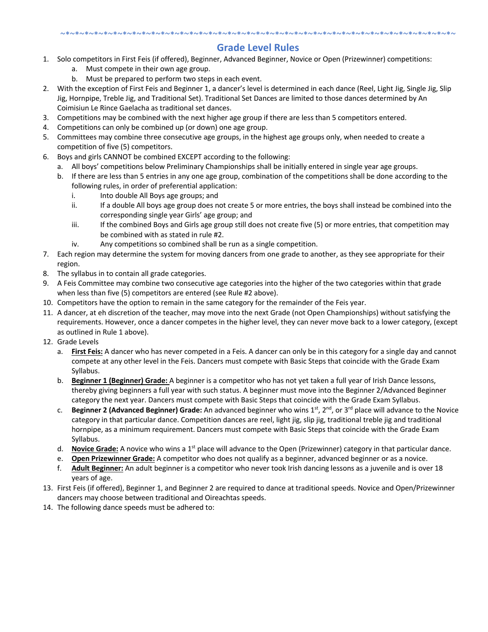#### ~\*~\*~\*~\*~\*~\*~\*~\*~\*~\*~\*~\*~\*~\*~\*~\*~\*~\*~\*~\*~\*~\*~\*~\*~\*~\*~\*~\*~\*~\*~\*~\*~\*~\*~\*~\*~\*~\*~\*~\*~\*~ **Grade Level Rules**

- 1. Solo competitors in First Feis (if offered), Beginner, Advanced Beginner, Novice or Open (Prizewinner) competitions:
	- a. Must compete in their own age group.
	- b. Must be prepared to perform two steps in each event.
- 2. With the exception of First Feis and Beginner 1, a dancer's level is determined in each dance (Reel, Light Jig, Single Jig, Slip Jig, Hornpipe, Treble Jig, and Traditional Set). Traditional Set Dances are limited to those dances determined by An Coimisiun Le Rince Gaelacha as traditional set dances.
- 3. Competitions may be combined with the next higher age group if there are less than 5 competitors entered.
- 4. Competitions can only be combined up (or down) one age group.
- 5. Committees may combine three consecutive age groups, in the highest age groups only, when needed to create a competition of five (5) competitors.
- 6. Boys and girls CANNOT be combined EXCEPT according to the following:
	- a. All boys' competitions below Preliminary Championships shall be initially entered in single year age groups.
	- b. If there are less than 5 entries in any one age group, combination of the competitions shall be done according to the following rules, in order of preferential application:
		- i. Into double All Boys age groups; and
		- ii. If a double All boys age group does not create 5 or more entries, the boys shall instead be combined into the corresponding single year Girls' age group; and
		- iii. If the combined Boys and Girls age group still does not create five (5) or more entries, that competition may be combined with as stated in rule #2.
		- iv. Any competitions so combined shall be run as a single competition.
- 7. Each region may determine the system for moving dancers from one grade to another, as they see appropriate for their region.
- 8. The syllabus in to contain all grade categories.
- 9. A Feis Committee may combine two consecutive age categories into the higher of the two categories within that grade when less than five (5) competitors are entered (see Rule #2 above).
- 10. Competitors have the option to remain in the same category for the remainder of the Feis year.
- 11. A dancer, at eh discretion of the teacher, may move into the next Grade (not Open Championships) without satisfying the requirements. However, once a dancer competes in the higher level, they can never move back to a lower category, (except as outlined in Rule 1 above).
- 12. Grade Levels
	- a. **First Feis:** A dancer who has never competed in a Feis. A dancer can only be in this category for a single day and cannot compete at any other level in the Feis. Dancers must compete with Basic Steps that coincide with the Grade Exam Syllabus.
	- b. **Beginner 1 (Beginner) Grade:** A beginner is a competitor who has not yet taken a full year of Irish Dance lessons, thereby giving beginners a full year with such status. A beginner must move into the Beginner 2/Advanced Beginner category the next year. Dancers must compete with Basic Steps that coincide with the Grade Exam Syllabus.
	- c. **Beginner 2 (Advanced Beginner) Grade:** An advanced beginner who wins 1<sup>st</sup>, 2<sup>nd</sup>, or 3<sup>rd</sup> place will advance to the Novice category in that particular dance. Competition dances are reel, light jig, slip jig, traditional treble jig and traditional hornpipe, as a minimum requirement. Dancers must compete with Basic Steps that coincide with the Grade Exam Syllabus.
	- d. **Novice Grade:** A novice who wins a 1<sup>st</sup> place will advance to the Open (Prizewinner) category in that particular dance.
	- e. **Open Prizewinner Grade:** A competitor who does not qualify as a beginner, advanced beginner or as a novice.
	- f. **Adult Beginner:** An adult beginner is a competitor who never took Irish dancing lessons as a juvenile and is over 18 years of age.
- 13. First Feis (if offered), Beginner 1, and Beginner 2 are required to dance at traditional speeds. Novice and Open/Prizewinner dancers may choose between traditional and Oireachtas speeds.
- 14. The following dance speeds must be adhered to: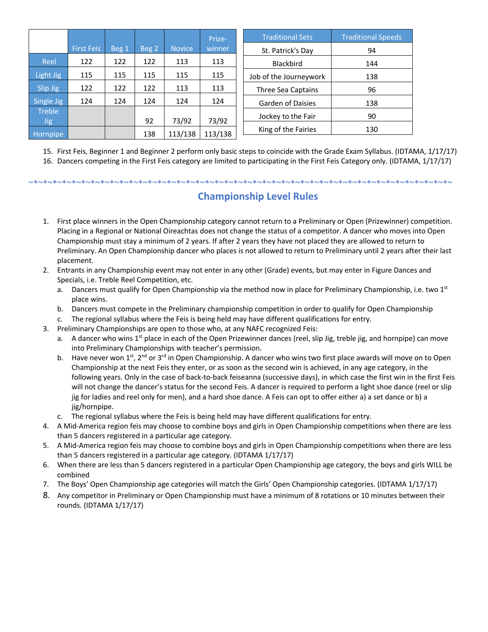|                               |            |       |       |                  | Prize-           | <b>Traditional Sets</b>  | <b>Traditional Speeds</b> |
|-------------------------------|------------|-------|-------|------------------|------------------|--------------------------|---------------------------|
|                               | First Feis | Beg 1 | Beg 2 | <b>Novice</b>    | winner           | St. Patrick's Day        | 94                        |
| Reel                          | 122        | 122   | 122   | 113              | 113              | <b>Blackbird</b>         | 144                       |
| Light Jig                     | 115        | 115   | 115   | 115              | 115              | Job of the Journeywork   | 138                       |
| Slip Jig                      | 122        | 122   | 122   | 113              | 113              | Three Sea Captains       | 96                        |
| Single Jig                    | 124        | 124   | 124   | 124              | 124              | <b>Garden of Daisies</b> | 138                       |
| <b>Treble</b>                 |            |       | 92    |                  |                  | Jockey to the Fair       | 90                        |
| <b>Jig</b><br><b>Hornpipe</b> |            |       | 138   | 73/92<br>113/138 | 73/92<br>113/138 | King of the Fairies      | 130                       |

15. First Feis, Beginner 1 and Beginner 2 perform only basic steps to coincide with the Grade Exam Syllabus. (IDTAMA, 1/17/17)

16. Dancers competing in the First Feis category are limited to participating in the First Feis Category only. (IDTAMA, 1/17/17)

~\*~\*~\*~\*~\*~\*~\*~\*~\*~\*~\*~\*~\*~\*~\*~\*~\*~\*~\*~\*~\*~\*~\*~\*~\*~\*~\*~\*~\*~\*~\*~\*~\*~\*~\*~\*~\*~\*~\*~\*~\*~\*~\*~\*~

## **Championship Level Rules**

- 1. First place winners in the Open Championship category cannot return to a Preliminary or Open (Prizewinner) competition. Placing in a Regional or National Oireachtas does not change the status of a competitor. A dancer who moves into Open Championship must stay a minimum of 2 years. If after 2 years they have not placed they are allowed to return to Preliminary. An Open Championship dancer who places is not allowed to return to Preliminary until 2 years after their last placement.
- 2. Entrants in any Championship event may not enter in any other (Grade) events, but may enter in Figure Dances and Specials, i.e. Treble Reel Competition, etc.
	- a. Dancers must qualify for Open Championship via the method now in place for Preliminary Championship, i.e. two  $1^{st}$ place wins.
	- b. Dancers must compete in the Preliminary championship competition in order to qualify for Open Championship
	- c. The regional syllabus where the Feis is being held may have different qualifications for entry.
- 3. Preliminary Championships are open to those who, at any NAFC recognized Feis:
	- a. A dancer who wins 1<sup>st</sup> place in each of the Open Prizewinner dances (reel, slip Jig, treble jig, and hornpipe) can move into Preliminary Championships with teacher's permission.
	- b. Have never won 1st,  $2^{nd}$  or  $3^{rd}$  in Open Championship. A dancer who wins two first place awards will move on to Open Championship at the next Feis they enter, or as soon as the second win is achieved, in any age category, in the following years. Only in the case of back-to-back feiseanna (successive days), in which case the first win in the first Feis will not change the dancer's status for the second Feis. A dancer is required to perform a light shoe dance (reel or slip jig for ladies and reel only for men), and a hard shoe dance. A Feis can opt to offer either a) a set dance or b) a jig/hornpipe.
	- c. The regional syllabus where the Feis is being held may have different qualifications for entry.
- 4. A Mid-America region feis may choose to combine boys and girls in Open Championship competitions when there are less than 5 dancers registered in a particular age category.
- 5. A Mid-America region feis may choose to combine boys and girls in Open Championship competitions when there are less than 5 dancers registered in a particular age category. (IDTAMA 1/17/17)
- 6. When there are less than 5 dancers registered in a particular Open Championship age category, the boys and girls WILL be combined
- 7. The Boys' Open Championship age categories will match the Girls' Open Championship categories. (IDTAMA 1/17/17)
- 8. Any competitor in Preliminary or Open Championship must have a minimum of 8 rotations or 10 minutes between their rounds. (IDTAMA 1/17/17)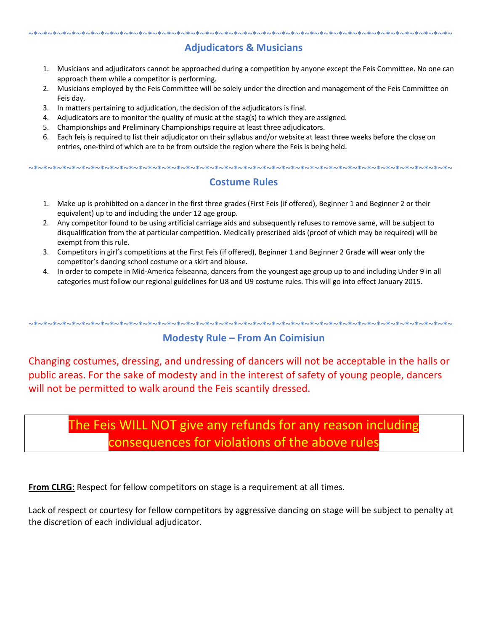## **Adjudicators & Musicians**

~\*~\*~\*~\*~\*~\*~\*~\*~\*~\*~\*~\*~\*~\*~\*~\*~\*~\*~\*~\*~\*~\*~\*~\*~\*~\*~\*~\*~\*~\*~\*~\*~\*~\*~\*~\*~\*~\*~\*~\*~\*~\*~\*~\*~

- 1. Musicians and adjudicators cannot be approached during a competition by anyone except the Feis Committee. No one can approach them while a competitor is performing.
- 2. Musicians employed by the Feis Committee will be solely under the direction and management of the Feis Committee on Feis day.
- 3. In matters pertaining to adjudication, the decision of the adjudicators is final.
- 4. Adjudicators are to monitor the quality of music at the stag(s) to which they are assigned.
- 5. Championships and Preliminary Championships require at least three adjudicators.
- 6. Each feis is required to list their adjudicator on their syllabus and/or website at least three weeks before the close on entries, one-third of which are to be from outside the region where the Feis is being held.

~\*~\*~\*~\*~\*~\*~\*~\*~\*~\*~\*~\*~\*~\*~\*~\*~\*~\*~\*~\*~\*~\*~\*~\*~\*~\*~\*~\*~\*~\*~\*~\*~\*~\*~\*~\*~\*~\*~\*~\*~\*~\*~\*~\*~

#### **Costume Rules**

- 1. Make up is prohibited on a dancer in the first three grades (First Feis (if offered), Beginner 1 and Beginner 2 or their equivalent) up to and including the under 12 age group.
- 2. Any competitor found to be using artificial carriage aids and subsequently refuses to remove same, will be subject to disqualification from the at particular competition. Medically prescribed aids (proof of which may be required) will be exempt from this rule.
- 3. Competitors in girl's competitions at the First Feis (if offered), Beginner 1 and Beginner 2 Grade will wear only the competitor's dancing school costume or a skirt and blouse.
- 4. In order to compete in Mid-America feiseanna, dancers from the youngest age group up to and including Under 9 in all categories must follow our regional guidelines for U8 and U9 costume rules. This will go into effect January 2015.

#### ~\*~\*~\*~\*~\*~\*~\*~\*~\*~\*~\*~\*~\*~\*~\*~\*~\*~\*~\*~\*~\*~\*~\*~\*~\*~\*~\*~\*~\*~\*~\*~\*~\*~\*~\*~\*~\*~\*~\*~\*~\*~\*~\*~\*~ **Modesty Rule – From An Coimisiun**

Changing costumes, dressing, and undressing of dancers will not be acceptable in the halls or public areas. For the sake of modesty and in the interest of safety of young people, dancers will not be permitted to walk around the Feis scantily dressed.

## The Feis WILL NOT give any refunds for any reason including consequences for violations of the above rules

**From CLRG:** Respect for fellow competitors on stage is a requirement at all times.

Lack of respect or courtesy for fellow competitors by aggressive dancing on stage will be subject to penalty at the discretion of each individual adjudicator.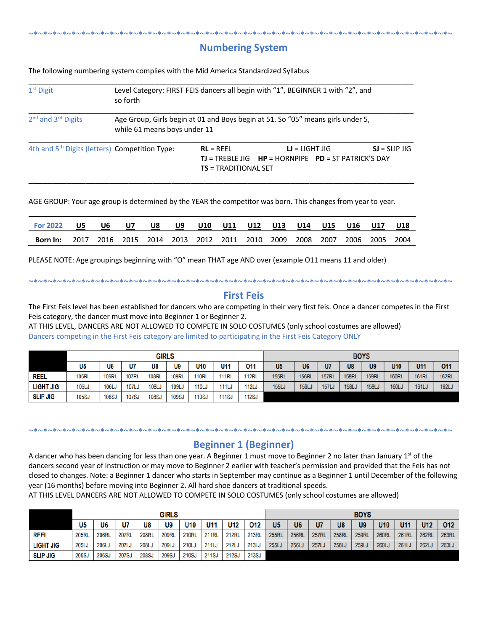#### ~\*~\*~\*~\*~\*~\*~\*~\*~\*~\*~\*~\*~\*~\*~\*~\*~\*~\*~\*~\*~\*~\*~\*~\*~\*~\*~\*~\*~\*~\*~\*~\*~\*~\*~\*~\*~\*~\*~\*~\*~\*~\*~\*~\*~ **Numbering System**

The following numbering system complies with the Mid America Standardized Syllabus

| $1st$ Digit                                                | so forth                     |                                       | Level Category: FIRST FEIS dancers all begin with "1", BEGINNER 1 with "2", and     |                 |
|------------------------------------------------------------|------------------------------|---------------------------------------|-------------------------------------------------------------------------------------|-----------------|
| 2 <sup>nd</sup> and 3 <sup>rd</sup> Digits                 | while 61 means boys under 11 |                                       | Age Group, Girls begin at 01 and Boys begin at 51. So "05" means girls under 5,     |                 |
| 4th and 5 <sup>th</sup> Digits (letters) Competition Type: |                              | $RL = REEL$<br>$TS = TRADITIONAL SET$ | $U = LIGHT JIG$<br><b>TJ</b> = TREBLE JIG $HP = HORNP$ IPE $PD = ST PARTRICK'S$ DAY | $SI = SLIP JIG$ |

AGE GROUP: Your age group is determined by the YEAR the competitor was born. This changes from year to year.

| <b>For 2022</b> | U5   | U6                                           | U7 | U8 | U9 |  | U10 U11 U12 U13 U14 U15 |  |      |      | U16 U17   | U18 |
|-----------------|------|----------------------------------------------|----|----|----|--|-------------------------|--|------|------|-----------|-----|
| Born In:        | 2017 | 2016 2015 2014 2013 2012 2011 2010 2009 2008 |    |    |    |  |                         |  | 2007 | 2006 | 2005 2004 |     |

PLEASE NOTE: Age groupings beginning with "O" mean THAT age AND over (example O11 means 11 and older)

#### **First Feis**

The First Feis level has been established for dancers who are competing in their very first feis. Once a dancer competes in the First Feis category, the dancer must move into Beginner 1 or Beginner 2.

~\*~\*~\*~\*~\*~\*~\*~\*~\*~\*~\*~\*~\*~\*~\*~\*~\*~\*~\*~\*~\*~\*~\*~\*~\*~\*~\*~\*~\*~\*~\*~\*~\*~\*~\*~\*~\*~\*~\*~\*~\*~\*~\*~\*~

AT THIS LEVEL, DANCERS ARE NOT ALLOWED TO COMPETE IN SOLO COSTUMES (only school costumes are allowed) Dancers competing in the First Feis category are limited to participating in the First Feis Category ONLY

|                  | <b>GIRLS</b><br>U5<br>U6<br>U7<br>U11<br>U8<br>U9<br>U <sub>10</sub><br><b>108RL</b><br><b>109RL</b><br><b>110RL</b><br>105RL<br><b>106RL</b><br><b>107RL</b><br><b>111RL</b><br>109L <sub>u</sub><br>110L <sub>0</sub><br>108L <sub>J</sub><br><b>106LJ</b><br><b>107LJ</b><br><b>111LJ</b><br>105LJ |              |              |              |              |              |       |              |                |              |              | <b>BOYS</b>  |              |                   |              |              |
|------------------|-------------------------------------------------------------------------------------------------------------------------------------------------------------------------------------------------------------------------------------------------------------------------------------------------------|--------------|--------------|--------------|--------------|--------------|-------|--------------|----------------|--------------|--------------|--------------|--------------|-------------------|--------------|--------------|
|                  |                                                                                                                                                                                                                                                                                                       |              |              |              |              |              |       | 011          | U <sub>5</sub> | U6           | U7           | U8           | U9           | U <sub>10</sub>   | U11          | 011          |
| <b>REEL</b>      |                                                                                                                                                                                                                                                                                                       |              |              |              |              |              |       | <b>112RL</b> | <b>155RL</b>   | <b>156RL</b> | <b>157RL</b> | <b>158RL</b> | <b>159RL</b> | <b>160RL</b>      | <b>161RL</b> | <b>162RL</b> |
| <b>LIGHT JIG</b> |                                                                                                                                                                                                                                                                                                       |              |              |              |              |              |       | <b>112LJ</b> | <b>155LJ</b>   | <b>156LJ</b> | <b>157LJ</b> | <b>158Lu</b> | <b>159LJ</b> | 160L <sub>3</sub> | <b>161LJ</b> | <b>162LJ</b> |
| <b>SLIP JIG</b>  | <b>105SJ</b>                                                                                                                                                                                                                                                                                          | <b>106SJ</b> | <b>107SJ</b> | <b>108SJ</b> | <b>109SJ</b> | <b>110SJ</b> | 111SJ | 112SJ        |                |              |              |              |              |                   |              |              |

#### **Beginner 1 (Beginner)**

~\*~\*~\*~\*~\*~\*~\*~\*~\*~\*~\*~\*~\*~\*~\*~\*~\*~\*~\*~\*~\*~\*~\*~\*~\*~\*~\*~\*~\*~\*~\*~\*~\*~\*~\*~\*~\*~\*~\*~\*~\*~\*~\*~\*~

A dancer who has been dancing for less than one year. A Beginner 1 must move to Beginner 2 no later than January 1<sup>st</sup> of the dancers second year of instruction or may move to Beginner 2 earlier with teacher's permission and provided that the Feis has not closed to changes. Note: a Beginner 1 dancer who starts in September may continue as a Beginner 1 until December of the following year (16 months) before moving into Beginner 2. All hard shoe dancers at traditional speeds.

AT THIS LEVEL DANCERS ARE NOT ALLOWED TO COMPETE IN SOLO COSTUMES (only school costumes are allowed)

|                  |                |              |              |              | <b>GIRLS</b> |              |              |              |              |                |                   |              |              | <b>BOYS</b>       |              |              |              |              |
|------------------|----------------|--------------|--------------|--------------|--------------|--------------|--------------|--------------|--------------|----------------|-------------------|--------------|--------------|-------------------|--------------|--------------|--------------|--------------|
|                  | U <sub>5</sub> | U6           | U7           | U8           | U9           | U10          | U11          | U12          | 012          | U <sub>5</sub> | U <sub>6</sub>    | U7           | U8           | U9                | U10          | U11          | <b>U12</b>   | 012          |
| Reel             | <b>205RL</b>   | <b>206RL</b> | <b>207RL</b> | <b>208RL</b> | <b>209RL</b> | <b>210RL</b> | <b>211RL</b> | <b>212RL</b> | <b>213RL</b> | <b>255RL</b>   | <b>256RL</b>      | <b>257RL</b> | <b>258RL</b> | <b>259RL</b>      | <b>260RL</b> | <b>261RL</b> | <b>262RL</b> | <b>263RL</b> |
| <b>LIGHT JIG</b> | 205LJ          | 206L.        | 207LJ        | 208LJ        | 209LJ        | 210LJ        | 211LJ        | 212LJ        | 213LJ        | 255L.          | 256L <sub>J</sub> | <b>257LJ</b> | 258LJ        | 259L <sub>v</sub> | 260LJ        | 261LJ        | 262LJ        | 263LJ        |
| <b>SLIP JIG</b>  | 205S.          | 206SJ        | 207SJ        | <b>208SJ</b> | <b>209SJ</b> | <b>210SJ</b> | 211SJ        | 212SJ        | 213SJ        |                |                   |              |              |                   |              |              |              |              |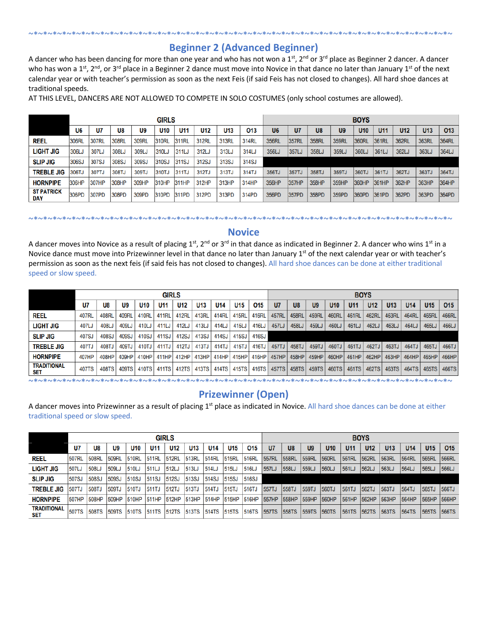### **Beginner 2 (Advanced Beginner)**

~\*~\*~\*~\*~\*~\*~\*~\*~\*~\*~\*~\*~\*~\*~\*~\*~\*~\*~\*~\*~\*~\*~\*~\*~\*~\*~\*~\*~\*~\*~\*~\*~\*~\*~\*~\*~\*~\*~\*~\*~\*~\*~\*~\*~

A dancer who has been dancing for more than one year and who has not won a  $1^{st}$ ,  $2^{nd}$  or  $3^{rd}$  place as Beginner 2 dancer. A dancer who has won a 1<sup>st</sup>, 2<sup>nd</sup>, or 3<sup>rd</sup> place in a Beginner 2 dance must move into Novice in that dance no later than January 1<sup>st</sup> of the next calendar year or with teacher's permission as soon as the next Feis (if said Feis has not closed to changes). All hard shoe dances at traditional speeds.

AT THIS LEVEL, DANCERS ARE NOT ALLOWED TO COMPETE IN SOLO COSTUMES (only school costumes are allowed).

|                          |                |       |       |       | <b>GIRLS</b>    |       |                 |                 |       |                |              |                |                | <b>BOYS</b>     |                 |              |       |              |
|--------------------------|----------------|-------|-------|-------|-----------------|-------|-----------------|-----------------|-------|----------------|--------------|----------------|----------------|-----------------|-----------------|--------------|-------|--------------|
|                          | U <sub>6</sub> | U7    | U8    | U9    | U <sub>10</sub> | U11   | U <sub>12</sub> | U <sub>13</sub> | 013   | U <sub>6</sub> | U7           | U <sub>8</sub> | U <sub>9</sub> | U <sub>10</sub> | U <sub>11</sub> | U12          | U13   | 013          |
| <b>REEL</b>              | 306RL          | 307RL | 308RL | 309RL | 310RL           | 311RL | 312RL           | 313RL           | 314RL | 356RL          | 357RL        | 358RL          | 359RL          | <b>360RI</b>    | 361RL           | <b>362RL</b> | 363RL | <b>364RL</b> |
| <b>LIGHT JIG</b>         | 306LJ          | 307LJ | 308LJ | 309LJ | 310LJ           | 311LJ | 312LJ           | 313LJ           | 314LJ | 356LJ          | 357LJ        | 358LJ          | 359LJ          | 360LJ           | 361LJ           | 362LJ        | 363LJ | 364LJ        |
| <b>SLIP JIG</b>          | 306SJ          | 307SJ | 308SJ | 309SJ | 310SJ           | 311SJ | 312SJ           | 313SJ           | 314SJ |                |              |                |                |                 |                 |              |       |              |
| <b>TREBLE JIG</b>        | 306TJ          | 307TJ | 308TJ | 309TJ | 310TJ           | 311TJ | 312TJ           | 313TJ           | 314TJ | 356TJ          | 357TJ        | 358TJ          | 359TJ          | 360TJ           | 361TJ           | 362TJ        | 363TJ | 364TJ        |
| <b>HORNPIPE</b>          | 306HP          | 307HP | 308HP | 309HP | 310HP           | 311HP | 312HP           | 313HP           | 314HP | 356HP          | 357HP        | 358HP          | 359HP          | 360HP           | 361HP           | 362HP        | 363HP | 364HP        |
| <b>ST PATRICK</b><br>DAY | 306PD          | 307PD | 308PD | 309PD | 310PD           | 311PD | 312PD           | 313PD           | 314PD | 356PD          | <b>357PD</b> | 358PD          | 359PD          | 360PD           | 361PD           | 362PD        | 363PD | 364PD        |

#### **Novice**

~\*~\*~\*~\*~\*~\*~\*~\*~\*~\*~\*~\*~\*~\*~\*~\*~\*~\*~\*~\*~\*~\*~\*~\*~\*~\*~\*~\*~\*~\*~\*~\*~\*~\*~\*~\*~\*~\*~\*~\*~\*~\*~\*~\*~

A dancer moves into Novice as a result of placing 1<sup>st</sup>, 2<sup>nd</sup> or 3<sup>rd</sup> in that dance as indicated in Beginner 2. A dancer who wins 1<sup>st</sup> in a Novice dance must move into Prizewinner level in that dance no later than January 1<sup>st</sup> of the next calendar year or with teacher's permission as soon as the next feis (if said feis has not closed to changes). All hard shoe dances can be done at either traditional speed or slow speed.

|                                  |       |       |       |       | <b>GIRLS</b> |                 |       |                 |                 |       |              |                |                |                 | <b>BOYS</b>     |                 |                 |                 |            |       |
|----------------------------------|-------|-------|-------|-------|--------------|-----------------|-------|-----------------|-----------------|-------|--------------|----------------|----------------|-----------------|-----------------|-----------------|-----------------|-----------------|------------|-------|
|                                  | U7    | U8    | U9    | U10   | U11          | U <sub>12</sub> | U13   | U <sub>14</sub> | U <sub>15</sub> | 015   | U7           | U <sub>8</sub> | U <sub>9</sub> | U <sub>10</sub> | U <sub>11</sub> | U <sub>12</sub> | U <sub>13</sub> | U <sub>14</sub> | <b>U15</b> | 015   |
| Reel                             | 407RL | 408RL | 409RI | 410RL | 411RL        | 412RL           | 413RL | 414RL           | 415RI           | 416RL | <b>457RL</b> | <b>458RL</b>   | 459RL          | 460RL           | 461RL           | <b>462RL</b>    | 463RL           | 464RI           | 465RL      | 466RL |
| <b>LIGHT JIG</b>                 | 407LJ | 408LJ | 409LJ | 410LJ | 411LJ        | 412LJ           | 413LJ | 414LJ           | 415LJ           | 416LJ | 457LJ        | 458LJ          | 459LJ          | 460LJ           | 461LJ           | 462LJ           | 463LJ           | 464LJ           | 465LJ      | 466LJ |
| <b>SLIP JIG</b>                  | 407SJ | 408SJ | 409SJ | 410SJ | 411SJ        | 412SJ           | 413SJ | 414SJ           | 415SJ           | 416SJ |              |                |                |                 |                 |                 |                 |                 |            |       |
| <b>TREBLE JIG</b>                | 407TJ | 408TJ | 409TJ | 410TJ | 411TJ        | 412TJ           | 413TJ | 414TJ           | 415TJ           | 416TJ | 457TJ        | 458TJ          | 459TJ          | 460TJ           | 461TJ           | 462TJ           | 463TJ           | 464TJ           | 465TJ      | 466TJ |
| <b>HORNPIPE</b>                  | 407HP | 408HP | 409HP | 410HP | 411HP        | 412HP           | 413HP | 414HP           | 415HP           |       | 416HP 457HP  | 458HP          | 459HP          | 460HP           | 461HP           | 462HP           | 463HP           | 464HP           | 465HP      | 466HP |
| <b>TRADITIONAL</b><br><b>SET</b> | 407TS | 408TS | 409TS | 410TS | 411TS        | 412TS           | 413TS | 414TS           | 415TS           |       | 416TS 457TS  | 458TS          | 459TS          | 460TS           | 461TS           | 462TS           | 463TS           | 464TS           | 465TS      | 466TS |

~\*~\*~\*~\*~\*~\*~\*~\*~\*~\*~\*~\*~\*~\*~\*~\*~\*~\*~\*~\*~\*~\*~\*~\*~\*~\*~\*~\*~\*~\*~\*~\*~\*~\*~\*~\*~\*~\*~\*~\*~\*~\*~\*~\*~

#### **Prizewinner (Open)**

A dancer moves into Prizewinner as a result of placing 1<sup>st</sup> place as indicated in Novice. All hard shoe dances can be done at either traditional speed or slow speed.

|                           | <b>GIRLS</b><br>U7<br>U <sub>9</sub><br>U10<br>U8<br>U <sub>12</sub><br>U <sub>14</sub><br>U13<br>U11<br>U15<br>508RL<br>509RL<br>510RL<br><b>512RL</b><br>513RL<br>507RL<br><b>514RL</b><br>515RL<br>511RL<br>513LJ<br>509LJ<br>510LJ<br>512LJ<br>508LJ<br>1507LJ<br>514LJ<br>515LJ<br>511LJ<br>508SJ<br>509SJ<br>510SJ<br>512SJ<br>513SJ<br>514SJ<br>511SJ<br>507SJ<br><b>515SJ</b><br>509TJ<br>508TJ<br>510TJ<br>1512TJ<br>513TJ<br><b>514TJ</b><br><b>511TJ</b><br>515TJ<br>507TJ |              |       |              |                          |        |       |                          |       |              |                   |                |                |                 |                 | <b>BOYS</b>     |                 |                 |                 |              |
|---------------------------|---------------------------------------------------------------------------------------------------------------------------------------------------------------------------------------------------------------------------------------------------------------------------------------------------------------------------------------------------------------------------------------------------------------------------------------------------------------------------------------|--------------|-------|--------------|--------------------------|--------|-------|--------------------------|-------|--------------|-------------------|----------------|----------------|-----------------|-----------------|-----------------|-----------------|-----------------|-----------------|--------------|
|                           |                                                                                                                                                                                                                                                                                                                                                                                                                                                                                       |              |       |              |                          |        |       |                          |       | 015          | U7                | U <sub>8</sub> | U <sub>9</sub> | U <sub>10</sub> | U <sub>11</sub> | U <sub>12</sub> | U <sub>13</sub> | U <sub>14</sub> | U <sub>15</sub> | 015          |
| <b>REEL</b>               |                                                                                                                                                                                                                                                                                                                                                                                                                                                                                       |              |       |              |                          |        |       |                          |       | 516RL        | 557RL             | <b>558RL</b>   | 559RL          | 560RL           | 561RL           | <b>562RL</b>    | 563RL           | 564RL           | 565RL           | 566RL        |
| <b>LIGHT JIG</b>          |                                                                                                                                                                                                                                                                                                                                                                                                                                                                                       |              |       |              |                          |        |       |                          |       | 516LJ        | 557LJ             | 558LJ          | 559LJ          | 560LJ           | 561LJ           | 562LJ           | 563LJ           | 564LJ           | 565LJ           | 566LJ        |
| <b>SLIP JIG</b>           |                                                                                                                                                                                                                                                                                                                                                                                                                                                                                       |              |       |              |                          |        |       |                          |       | <b>516SJ</b> |                   |                |                |                 |                 |                 |                 |                 |                 |              |
| <b>TREBLE JIG</b>         |                                                                                                                                                                                                                                                                                                                                                                                                                                                                                       |              |       |              |                          |        |       |                          |       | 516TJ        | 557TJ             | 558TJ          | 559TJ          | 560TJ           | 561TJ           | 562TJ           | 563TJ           | 564TJ           | 565TJ           | 566TJ        |
| <b>HORNPIPE</b>           | 507HP                                                                                                                                                                                                                                                                                                                                                                                                                                                                                 | 508HP        | 509HP | 510HP        | <b>511HP</b>             | 1512HP | 513HP | 514HP                    | 515HP | 516HP        | 557HP             | 558HP          | 559HP          | 560HP           | 561HP           | 1562HP          | 563HP           | 564HP           | 565HP           | 566HP        |
| <b>TRADITIONAL</b><br>SET | <b>507TS</b>                                                                                                                                                                                                                                                                                                                                                                                                                                                                          | <b>508TS</b> | 509TS | <b>510TS</b> | <b>511TS 512TS 513TS</b> |        |       | <b>514TS 515TS 516TS</b> |       |              | 557TS 558TS 559TS |                |                | <b>560TS</b>    | <b>561TS</b>    | 562TS           | <b>563TS</b>    | 564TS           | 565TS           | <b>566TS</b> |